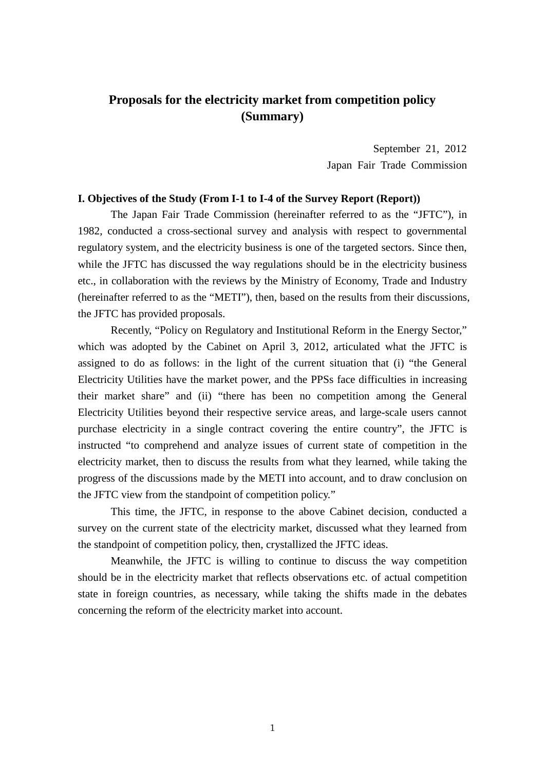# **Proposals for the electricity market from competition policy (Summary)**

September 21, 2012 Japan Fair Trade Commission

## **I. Objectives of the Study (From I-1 to I-4 of the Survey Report (Report))**

The Japan Fair Trade Commission (hereinafter referred to as the "JFTC"), in 1982, conducted a cross-sectional survey and analysis with respect to governmental regulatory system, and the electricity business is one of the targeted sectors. Since then, while the JFTC has discussed the way regulations should be in the electricity business etc., in collaboration with the reviews by the Ministry of Economy, Trade and Industry (hereinafter referred to as the "METI"), then, based on the results from their discussions, the JFTC has provided proposals.

Recently, "Policy on Regulatory and Institutional Reform in the Energy Sector," which was adopted by the Cabinet on April 3, 2012, articulated what the JFTC is assigned to do as follows: in the light of the current situation that (i) "the General Electricity Utilities have the market power, and the PPSs face difficulties in increasing their market share" and (ii) "there has been no competition among the General Electricity Utilities beyond their respective service areas, and large-scale users cannot purchase electricity in a single contract covering the entire country", the JFTC is instructed "to comprehend and analyze issues of current state of competition in the electricity market, then to discuss the results from what they learned, while taking the progress of the discussions made by the METI into account, and to draw conclusion on the JFTC view from the standpoint of competition policy."

This time, the JFTC, in response to the above Cabinet decision, conducted a survey on the current state of the electricity market, discussed what they learned from the standpoint of competition policy, then, crystallized the JFTC ideas.

Meanwhile, the JFTC is willing to continue to discuss the way competition should be in the electricity market that reflects observations etc. of actual competition state in foreign countries, as necessary, while taking the shifts made in the debates concerning the reform of the electricity market into account.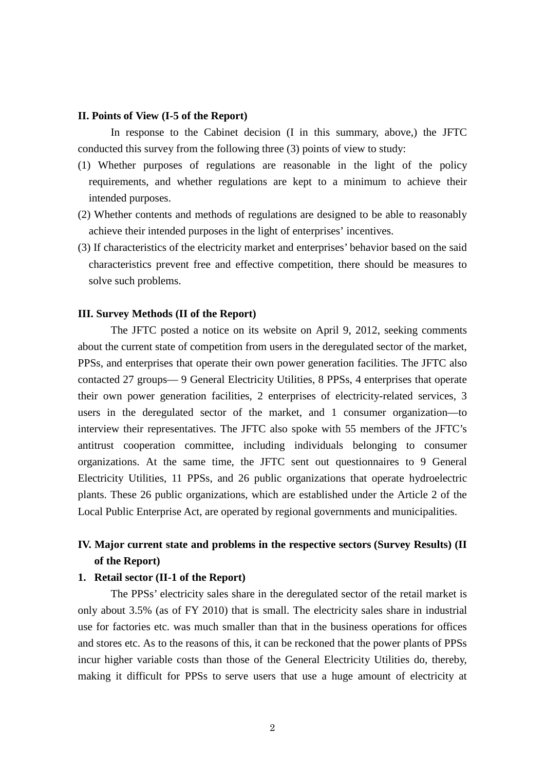#### **II. Points of View (I-5 of the Report)**

In response to the Cabinet decision (I in this summary, above,) the JFTC conducted this survey from the following three (3) points of view to study:

- (1) Whether purposes of regulations are reasonable in the light of the policy requirements, and whether regulations are kept to a minimum to achieve their intended purposes.
- (2) Whether contents and methods of regulations are designed to be able to reasonably achieve their intended purposes in the light of enterprises' incentives.
- (3) If characteristics of the electricity market and enterprises' behavior based on the said characteristics prevent free and effective competition, there should be measures to solve such problems.

#### **III. Survey Methods (II of the Report)**

The JFTC posted a notice on its website on April 9, 2012, seeking comments about the current state of competition from users in the deregulated sector of the market, PPSs, and enterprises that operate their own power generation facilities. The JFTC also contacted 27 groups— 9 General Electricity Utilities, 8 PPSs, 4 enterprises that operate their own power generation facilities, 2 enterprises of electricity-related services, 3 users in the deregulated sector of the market, and 1 consumer organization—to interview their representatives. The JFTC also spoke with 55 members of the JFTC's antitrust cooperation committee, including individuals belonging to consumer organizations. At the same time, the JFTC sent out questionnaires to 9 General Electricity Utilities, 11 PPSs, and 26 public organizations that operate hydroelectric plants. These 26 public organizations, which are established under the Article 2 of the Local Public Enterprise Act, are operated by regional governments and municipalities.

## **IV. Major current state and problems in the respective sectors (Survey Results) (II of the Report)**

### **1. Retail sector (II-1 of the Report)**

The PPSs' electricity sales share in the deregulated sector of the retail market is only about 3.5% (as of FY 2010) that is small. The electricity sales share in industrial use for factories etc. was much smaller than that in the business operations for offices and stores etc. As to the reasons of this, it can be reckoned that the power plants of PPSs incur higher variable costs than those of the General Electricity Utilities do, thereby, making it difficult for PPSs to serve users that use a huge amount of electricity at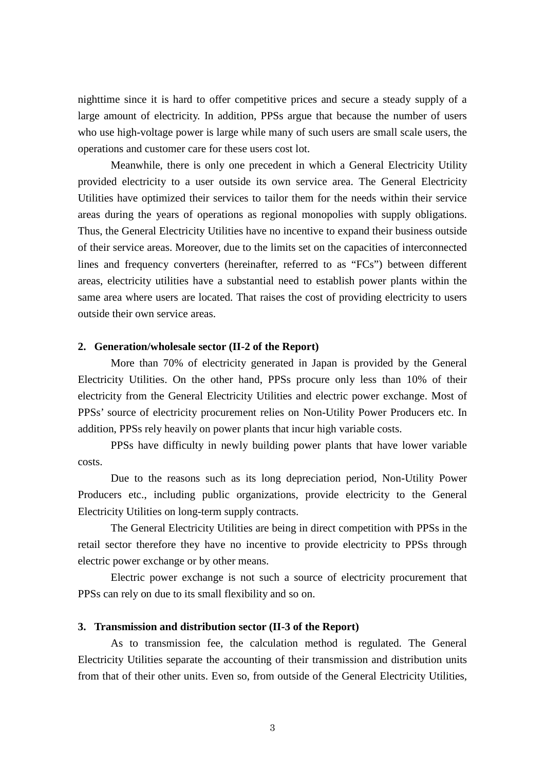nighttime since it is hard to offer competitive prices and secure a steady supply of a large amount of electricity. In addition, PPSs argue that because the number of users who use high-voltage power is large while many of such users are small scale users, the operations and customer care for these users cost lot.

Meanwhile, there is only one precedent in which a General Electricity Utility provided electricity to a user outside its own service area. The General Electricity Utilities have optimized their services to tailor them for the needs within their service areas during the years of operations as regional monopolies with supply obligations. Thus, the General Electricity Utilities have no incentive to expand their business outside of their service areas. Moreover, due to the limits set on the capacities of interconnected lines and frequency converters (hereinafter, referred to as "FCs") between different areas, electricity utilities have a substantial need to establish power plants within the same area where users are located. That raises the cost of providing electricity to users outside their own service areas.

## **2. Generation/wholesale sector (II-2 of the Report)**

More than 70% of electricity generated in Japan is provided by the General Electricity Utilities. On the other hand, PPSs procure only less than 10% of their electricity from the General Electricity Utilities and electric power exchange. Most of PPSs' source of electricity procurement relies on Non-Utility Power Producers etc. In addition, PPSs rely heavily on power plants that incur high variable costs.

PPSs have difficulty in newly building power plants that have lower variable costs.

Due to the reasons such as its long depreciation period, Non-Utility Power Producers etc., including public organizations, provide electricity to the General Electricity Utilities on long-term supply contracts.

The General Electricity Utilities are being in direct competition with PPSs in the retail sector therefore they have no incentive to provide electricity to PPSs through electric power exchange or by other means.

Electric power exchange is not such a source of electricity procurement that PPSs can rely on due to its small flexibility and so on.

## **3. Transmission and distribution sector (II-3 of the Report)**

As to transmission fee, the calculation method is regulated. The General Electricity Utilities separate the accounting of their transmission and distribution units from that of their other units. Even so, from outside of the General Electricity Utilities,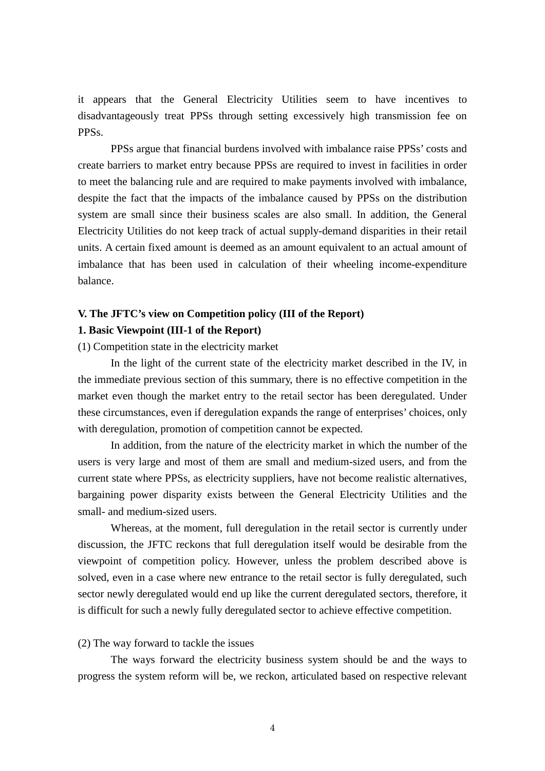it appears that the General Electricity Utilities seem to have incentives to disadvantageously treat PPSs through setting excessively high transmission fee on PPSs.

PPSs argue that financial burdens involved with imbalance raise PPSs' costs and create barriers to market entry because PPSs are required to invest in facilities in order to meet the balancing rule and are required to make payments involved with imbalance, despite the fact that the impacts of the imbalance caused by PPSs on the distribution system are small since their business scales are also small. In addition, the General Electricity Utilities do not keep track of actual supply-demand disparities in their retail units. A certain fixed amount is deemed as an amount equivalent to an actual amount of imbalance that has been used in calculation of their wheeling income-expenditure balance.

#### **V. The JFTC's view on Competition policy (III of the Report)**

#### **1. Basic Viewpoint (III-1 of the Report)**

(1) Competition state in the electricity market

In the light of the current state of the electricity market described in the IV, in the immediate previous section of this summary, there is no effective competition in the market even though the market entry to the retail sector has been deregulated. Under these circumstances, even if deregulation expands the range of enterprises' choices, only with deregulation, promotion of competition cannot be expected.

In addition, from the nature of the electricity market in which the number of the users is very large and most of them are small and medium-sized users, and from the current state where PPSs, as electricity suppliers, have not become realistic alternatives, bargaining power disparity exists between the General Electricity Utilities and the small- and medium-sized users.

Whereas, at the moment, full deregulation in the retail sector is currently under discussion, the JFTC reckons that full deregulation itself would be desirable from the viewpoint of competition policy. However, unless the problem described above is solved, even in a case where new entrance to the retail sector is fully deregulated, such sector newly deregulated would end up like the current deregulated sectors, therefore, it is difficult for such a newly fully deregulated sector to achieve effective competition.

#### (2) The way forward to tackle the issues

The ways forward the electricity business system should be and the ways to progress the system reform will be, we reckon, articulated based on respective relevant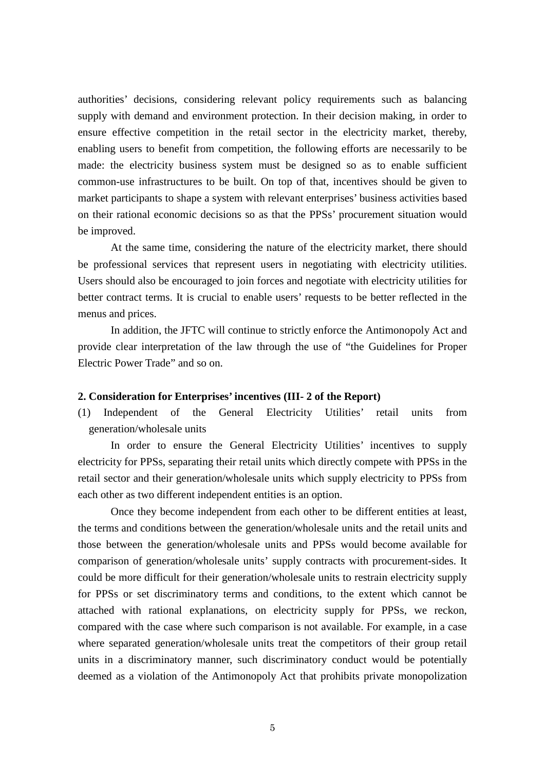authorities' decisions, considering relevant policy requirements such as balancing supply with demand and environment protection. In their decision making, in order to ensure effective competition in the retail sector in the electricity market, thereby, enabling users to benefit from competition, the following efforts are necessarily to be made: the electricity business system must be designed so as to enable sufficient common-use infrastructures to be built. On top of that, incentives should be given to market participants to shape a system with relevant enterprises' business activities based on their rational economic decisions so as that the PPSs' procurement situation would be improved.

At the same time, considering the nature of the electricity market, there should be professional services that represent users in negotiating with electricity utilities. Users should also be encouraged to join forces and negotiate with electricity utilities for better contract terms. It is crucial to enable users' requests to be better reflected in the menus and prices.

In addition, the JFTC will continue to strictly enforce the Antimonopoly Act and provide clear interpretation of the law through the use of "the Guidelines for Proper Electric Power Trade" and so on.

### **2. Consideration for Enterprises' incentives (III- 2 of the Report)**

(1) Independent of the General Electricity Utilities' retail units from generation/wholesale units

In order to ensure the General Electricity Utilities' incentives to supply electricity for PPSs, separating their retail units which directly compete with PPSs in the retail sector and their generation/wholesale units which supply electricity to PPSs from each other as two different independent entities is an option.

Once they become independent from each other to be different entities at least, the terms and conditions between the generation/wholesale units and the retail units and those between the generation/wholesale units and PPSs would become available for comparison of generation/wholesale units' supply contracts with procurement-sides. It could be more difficult for their generation/wholesale units to restrain electricity supply for PPSs or set discriminatory terms and conditions, to the extent which cannot be attached with rational explanations, on electricity supply for PPSs, we reckon, compared with the case where such comparison is not available. For example, in a case where separated generation/wholesale units treat the competitors of their group retail units in a discriminatory manner, such discriminatory conduct would be potentially deemed as a violation of the Antimonopoly Act that prohibits private monopolization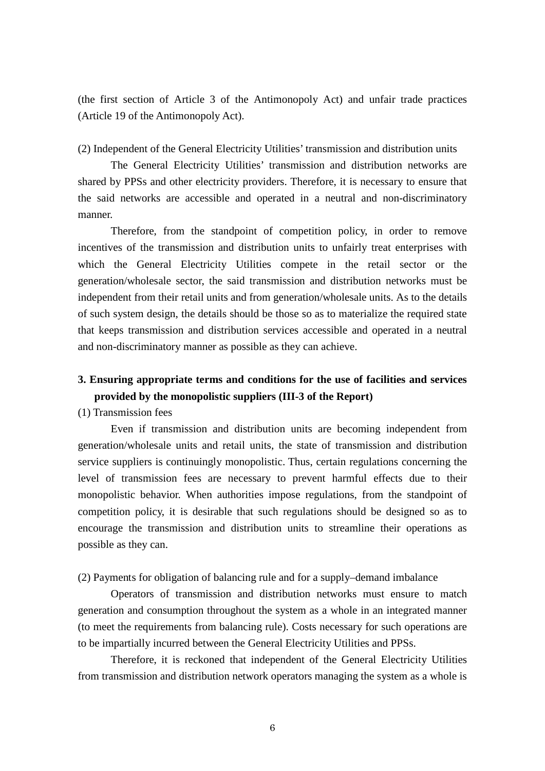(the first section of Article 3 of the Antimonopoly Act) and unfair trade practices (Article 19 of the Antimonopoly Act).

(2) Independent of the General Electricity Utilities' transmission and distribution units

The General Electricity Utilities' transmission and distribution networks are shared by PPSs and other electricity providers. Therefore, it is necessary to ensure that the said networks are accessible and operated in a neutral and non-discriminatory manner.

Therefore, from the standpoint of competition policy, in order to remove incentives of the transmission and distribution units to unfairly treat enterprises with which the General Electricity Utilities compete in the retail sector or the generation/wholesale sector, the said transmission and distribution networks must be independent from their retail units and from generation/wholesale units. As to the details of such system design, the details should be those so as to materialize the required state that keeps transmission and distribution services accessible and operated in a neutral and non-discriminatory manner as possible as they can achieve.

## **3. Ensuring appropriate terms and conditions for the use of facilities and services provided by the monopolistic suppliers (III-3 of the Report)**

(1) Transmission fees

Even if transmission and distribution units are becoming independent from generation/wholesale units and retail units, the state of transmission and distribution service suppliers is continuingly monopolistic. Thus, certain regulations concerning the level of transmission fees are necessary to prevent harmful effects due to their monopolistic behavior. When authorities impose regulations, from the standpoint of competition policy, it is desirable that such regulations should be designed so as to encourage the transmission and distribution units to streamline their operations as possible as they can.

(2) Payments for obligation of balancing rule and for a supply–demand imbalance

Operators of transmission and distribution networks must ensure to match generation and consumption throughout the system as a whole in an integrated manner (to meet the requirements from balancing rule). Costs necessary for such operations are to be impartially incurred between the General Electricity Utilities and PPSs.

Therefore, it is reckoned that independent of the General Electricity Utilities from transmission and distribution network operators managing the system as a whole is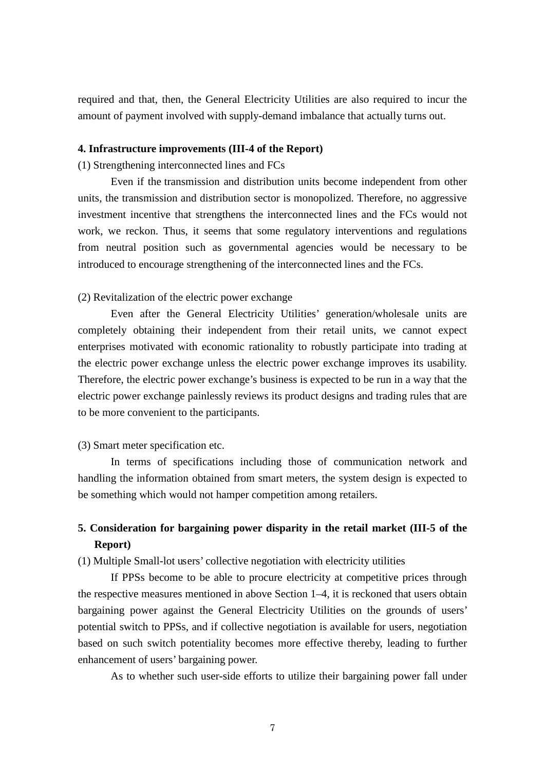required and that, then, the General Electricity Utilities are also required to incur the amount of payment involved with supply-demand imbalance that actually turns out.

## **4. Infrastructure improvements (III-4 of the Report)**

(1) Strengthening interconnected lines and FCs

Even if the transmission and distribution units become independent from other units, the transmission and distribution sector is monopolized. Therefore, no aggressive investment incentive that strengthens the interconnected lines and the FCs would not work, we reckon. Thus, it seems that some regulatory interventions and regulations from neutral position such as governmental agencies would be necessary to be introduced to encourage strengthening of the interconnected lines and the FCs.

## (2) Revitalization of the electric power exchange

Even after the General Electricity Utilities' generation/wholesale units are completely obtaining their independent from their retail units, we cannot expect enterprises motivated with economic rationality to robustly participate into trading at the electric power exchange unless the electric power exchange improves its usability. Therefore, the electric power exchange's business is expected to be run in a way that the electric power exchange painlessly reviews its product designs and trading rules that are to be more convenient to the participants.

## (3) Smart meter specification etc.

In terms of specifications including those of communication network and handling the information obtained from smart meters, the system design is expected to be something which would not hamper competition among retailers.

## **5. Consideration for bargaining power disparity in the retail market (III-5 of the Report)**

(1) Multiple Small-lot users' collective negotiation with electricity utilities

If PPSs become to be able to procure electricity at competitive prices through the respective measures mentioned in above Section 1–4, it is reckoned that users obtain bargaining power against the General Electricity Utilities on the grounds of users' potential switch to PPSs, and if collective negotiation is available for users, negotiation based on such switch potentiality becomes more effective thereby, leading to further enhancement of users' bargaining power.

As to whether such user-side efforts to utilize their bargaining power fall under